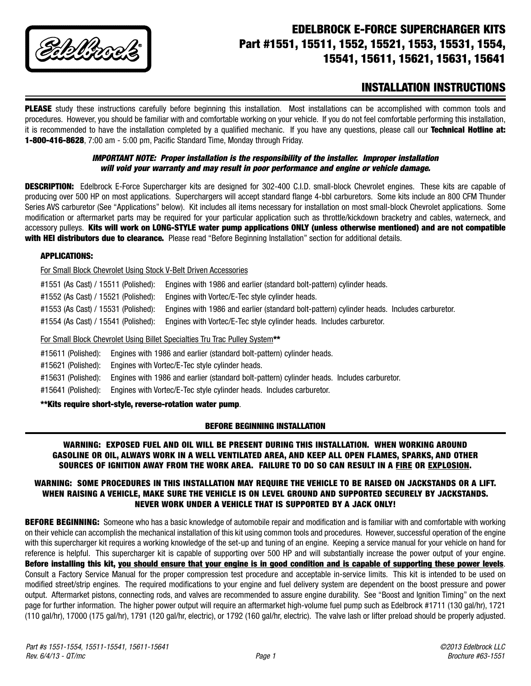

# **EDELBROCK E-FORCE SUPERCHARGER KITS Part #1551, 15511, 1552, 15521, 1553, 15531, 1554, 15541, 15611, 15621, 15631, 15641**

## **INSTALLATION INSTRUCTIONS**

**PLEASE** study these instructions carefully before beginning this installation. Most installations can be accomplished with common tools and procedures. However, you should be familiar with and comfortable working on your vehicle. If you do not feel comfortable performing this installation, it is recommended to have the installation completed by a qualified mechanic. If you have any questions, please call our **Technical Hotline at: 1-800-416-8628**, 7:00 am - 5:00 pm, Pacific Standard Time, Monday through Friday.

### **IMPORTANT NOTE: Proper installation is the responsibility of the installer. Improper installation will void your warranty and may result in poor performance and engine or vehicle damage.**

**DESCRIPTION:** Edelbrock E-Force Supercharger kits are designed for 302-400 C.I.D. small-block Chevrolet engines. These kits are capable of producing over 500 HP on most applications. Superchargers will accept standard flange 4-bbl carburetors. Some kits include an 800 CFM Thunder Series AVS carburetor (See "Applications" below). Kit includes all items necessary for installation on most small-block Chevrolet applications. Some modification or aftermarket parts may be required for your particular application such as throttle/kickdown bracketry and cables, waterneck, and accessory pulleys. **Kits will work on LONG-STYLE water pump applications ONLY (unless otherwise mentioned) and are not compatible with HEI distributors due to clearance.** Please read "Before Beginning Installation" section for additional details.

#### **APPLICATIONS:**

For Small Block Chevrolet Using Stock V-Belt Driven Accessories

| #1551 (As Cast) / 15511 (Polished): | Engines with 1986 and earlier (standard bolt-pattern) cylinder heads.                      |
|-------------------------------------|--------------------------------------------------------------------------------------------|
| #1552 (As Cast) / 15521 (Polished): | Engines with Vortec/E-Tec style cylinder heads.                                            |
| #1553 (As Cast) / 15531 (Polished): | Engines with 1986 and earlier (standard bolt-pattern) cylinder heads. Includes carburetor. |
| #1554 (As Cast) / 15541 (Polished): | Engines with Vortec/E-Tec style cylinder heads. Includes carburetor.                       |
|                                     |                                                                                            |

## For Small Block Chevrolet Using Billet Specialties Tru Trac Pulley System**\*\***

#15611 (Polished): Engines with 1986 and earlier (standard bolt-pattern) cylinder heads.

#### #15621 (Polished): Engines with Vortec/E-Tec style cylinder heads.

#15631 (Polished): Engines with 1986 and earlier (standard bolt-pattern) cylinder heads. Includes carburetor.

#15641 (Polished): Engines with Vortec/E-Tec style cylinder heads. Includes carburetor.

#### **\*\*Kits require short-style, reverse-rotation water pump**.

## **BEFORE BEGINNING INSTALLATION**

#### **WARNING: EXPOSED FUEL AND OIL WILL BE PRESENT DURING THIS INSTALLATION. WHEN WORKING AROUND GASOLINE OR OIL, ALWAYS WORK IN A WELL VENTILATED AREA, AND KEEP ALL OPEN FLAMES, SPARKS, AND OTHER SOURCES OF IGNITION AWAY FROM THE WORK AREA. FAILURE TO DO SO CAN RESULT IN A FIRE OR EXPLOSION.**

#### **WARNING: SOME PROCEDURES IN THIS INSTALLATION MAY REQUIRE THE VEHICLE TO BE RAISED ON JACKSTANDS OR A LIFT. WHEN RAISING A VEHICLE, MAKE SURE THE VEHICLE IS ON LEVEL GROUND AND SUPPORTED SECURELY BY JACKSTANDS. NEVER WORK UNDER A VEHICLE THAT IS SUPPORTED BY A JACK ONLY!**

**BEFORE BEGINNING:** Someone who has a basic knowledge of automobile repair and modification and is familiar with and comfortable with working on their vehicle can accomplish the mechanical installation of this kit using common tools and procedures. However, successful operation of the engine with this supercharger kit requires a working knowledge of the set-up and tuning of an engine. Keeping a service manual for your vehicle on hand for reference is helpful. This supercharger kit is capable of supporting over 500 HP and will substantially increase the power output of your engine. **Before installing this kit, you should ensure that your engine is in good condition and is capable of supporting these power levels**. Consult a Factory Service Manual for the proper compression test procedure and acceptable in-service limits. This kit is intended to be used on modified street/strip engines. The required modifications to your engine and fuel delivery system are dependent on the boost pressure and power output. Aftermarket pistons, connecting rods, and valves are recommended to assure engine durability. See "Boost and Ignition Timing" on the next page for further information. The higher power output will require an aftermarket high-volume fuel pump such as Edelbrock #1711 (130 gal/hr), 1721 (110 gal/hr), 17000 (175 gal/hr), 1791 (120 gal/hr, electric), or 1792 (160 gal/hr, electric). The valve lash or lifter preload should be properly adjusted.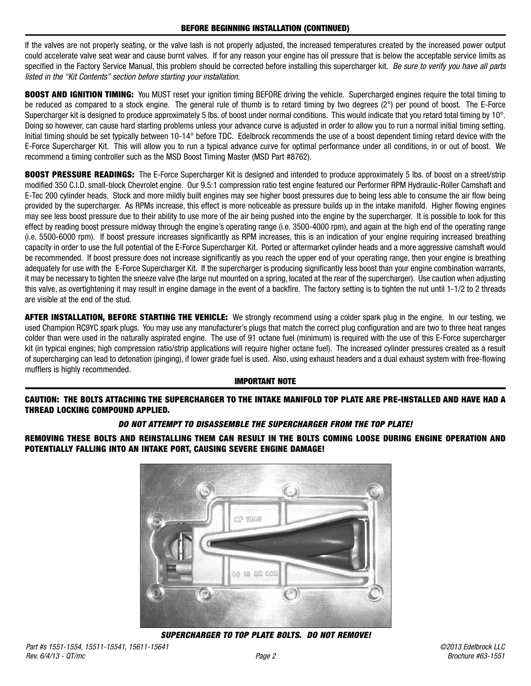If the valves are not properly seating, or the valve lash is not properly adjusted, the increased temperatures created by the increased power output could accelerate valve seat wear and cause burnt valves. If for any reason your engine has oil pressure that is below the acceptable service limits as specified in the Factory Service Manual, this problem should be corrected before installing this supercharger kit. Be sure to verify you have all parts listed in the "Kit Contents" section before starting your installation.

**BOOST AND IGNITION TIMING:** You MUST reset your ignition timing BEFORE driving the vehicle. Supercharged engines require the total timing to be reduced as compared to a stock engine. The general rule of thumb is to retard timing by two degrees (2°) per pound of boost. The E-Force Supercharger kit is designed to produce approximately 5 lbs. of boost under normal conditions. This would indicate that you retard total timing by 10°. Doing so however, can cause hard starting problems unless your advance curve is adjusted in order to allow you to run a normal initial timing setting. Initial timing should be set typically between 10-14° before TDC. Edelbrock recommends the use of a boost dependent timing retard device with the E-Force Supercharger Kit. This will allow you to run a typical advance curve for optimal performance under all conditions, in or out of boost. We recommend a timing controller such as the MSD Boost Timing Master (MSD Part #8762).

**BOOST PRESSURE READINGS:** The E-Force Supercharger Kit is designed and intended to produce approximately 5 lbs. of boost on a street/strip modified 350 C.I.D. small-block Chevrolet engine. Our 9.5:1 compression ratio test engine featured our Performer RPM Hydraulic-Roller Camshaft and E-Tec 200 cylinder heads. Stock and more mildly built engines may see higher boost pressures due to being less able to consume the air flow being provided by the supercharger. As RPMs increase, this effect is more noticeable as pressure builds up in the intake manifold. Higher flowing engines may see less boost pressure due to their ability to use more of the air being pushed into the engine by the supercharger. It is possible to look for this effect by reading boost pressure midway through the engine's operating range (i.e. 3500-4000 rpm), and again at the high end of the operating range (i.e. 5500-6000 rpm). If boost pressure increases significantly as RPM increases, this is an indication of your engine requiring increased breathing capacity in order to use the full potential of the E-Force Supercharger Kit. Ported or aftermarket cylinder heads and a more aggressive camshaft would be recommended. If boost pressure does not increase significantly as you reach the upper end of your operating range, then your engine is breathing adequately for use with the E-Force Supercharger Kit. If the supercharger is producing significantly less boost than your engine combination warrants, it may be necessary to tighten the sneeze valve (the large nut mounted on a spring, located at the rear of the supercharger). Use caution when adjusting this valve, as overtightening it may result in engine damage in the event of a backfire. The factory setting is to tighten the nut until 1-1/2 to 2 threads are visible at the end of the stud.

**AFTER INSTALLATION, BEFORE STARTING THE VEHICLE:** We strongly recommend using a colder spark plug in the engine. In our testing, we used Champion RC9YC spark plugs. You may use any manufacturer's plugs that match the correct plug configuration and are two to three heat ranges colder than were used in the naturally aspirated engine. The use of 91 octane fuel (minimum) is required with the use of this E-Force supercharger kit (in typical engines; high compression ratio/strip applications will require higher octane fuel). The increased cylinder pressures created as a result of supercharging can lead to detonation (pinging), if lower grade fuel is used. Also, using exhaust headers and a dual exhaust system with free-flowing mufflers is highly recommended.

#### **IMPORTANT NOTE**

**CAUTION: THE BOLTS ATTACHING THE SUPERCHARGER TO THE INTAKE MANIFOLD TOP PLATE ARE PRE-INSTALLED AND HAVE HAD A THREAD LOCKING COMPOUND APPLIED.**

## **DO NOT ATTEMPT TO DISASSEMBLE THE SUPERCHARGER FROM THE TOP PLATE!**

**REMOVING THESE BOLTS AND REINSTALLING THEM CAN RESULT IN THE BOLTS COMING LOOSE DURING ENGINE OPERATION AND POTENTIALLY FALLING INTO AN INTAKE PORT, CAUSING SEVERE ENGINE DAMAGE!**



**SUPERCHARGER TO TOP PLATE BOLTS. DO NOT REMOVE!**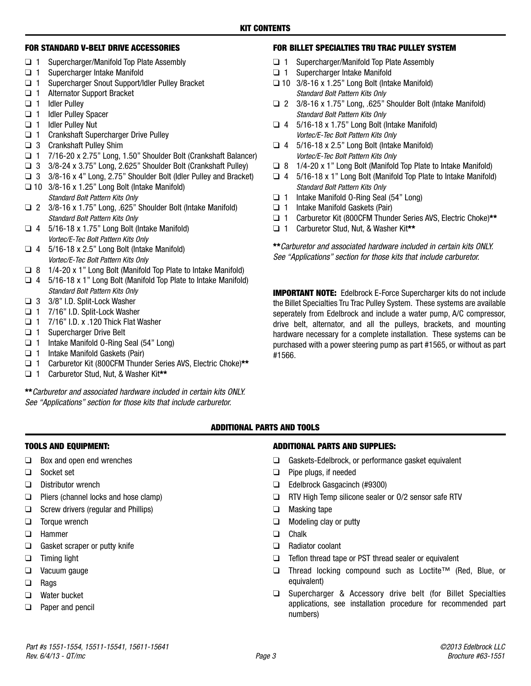#### **FOR STANDARD V-BELT DRIVE ACCESSORIES**

- ❑ 1 Supercharger/Manifold Top Plate Assembly
- ❑ 1 Supercharger Intake Manifold
- ❑ 1 Supercharger Snout Support/Idler Pulley Bracket
- ❑ 1 Alternator Support Bracket
- ❑ 1 Idler Pulley
- ❑ 1 Idler Pulley Spacer
- ❑ 1 Idler Pulley Nut
- ❑ 1 Crankshaft Supercharger Drive Pulley
- ❑ 3 Crankshaft Pulley Shim
- ❑ 1 7/16-20 x 2.75" Long, 1.50" Shoulder Bolt (Crankshaft Balancer)
- ❑ 3 3/8-24 x 3.75" Long, 2.625" Shoulder Bolt (Crankshaft Pulley)
- ❑ 3 3/8-16 x 4" Long, 2.75" Shoulder Bolt (Idler Pulley and Bracket)
- ❑ 10 3/8-16 x 1.25" Long Bolt (Intake Manifold) Standard Bolt Pattern Kits Only
- ❑ 2 3/8-16 x 1.75" Long, .625" Shoulder Bolt (Intake Manifold) Standard Bolt Pattern Kits Only
- $\Box$  4 5/16-18 x 1.75" Long Bolt (Intake Manifold) Vortec/E-Tec Bolt Pattern Kits Only
- $\Box$  4 5/16-18 x 2.5" Long Bolt (Intake Manifold) Vortec/E-Tec Bolt Pattern Kits Only
- ❑ 8 1/4-20 x 1" Long Bolt (Manifold Top Plate to Intake Manifold)
- ❑ 4 5/16-18 x 1" Long Bolt (Manifold Top Plate to Intake Manifold) Standard Bolt Pattern Kits Only
- ❑ 3 3/8" I.D. Split-Lock Washer
- ❑ 1 7/16" I.D. Split-Lock Washer
- ❑ 1 7/16" I.D. x .120 Thick Flat Washer
- ❑ 1 Supercharger Drive Belt
- ❑ 1 Intake Manifold O-Ring Seal (54" Long)
- ❑ 1 Intake Manifold Gaskets (Pair)
- ❑ 1 Carburetor Kit (800CFM Thunder Series AVS, Electric Choke)**\*\***
- ❑ 1 Carburetor Stud, Nut, & Washer Kit**\*\***

**\*\***Carburetor and associated hardware included in certain kits ONLY. See "Applications" section for those kits that include carburetor.

## **FOR BILLET SPECIALTIES TRU TRAC PULLEY SYSTEM**

- ❑ 1 Supercharger/Manifold Top Plate Assembly
- ❑ 1 Supercharger Intake Manifold
- ❑ 10 3/8-16 x 1.25" Long Bolt (Intake Manifold) Standard Bolt Pattern Kits Only
- ❑ 2 3/8-16 x 1.75" Long, .625" Shoulder Bolt (Intake Manifold) Standard Bolt Pattern Kits Only
- $\Box$  4 5/16-18 x 1.75" Long Bolt (Intake Manifold) Vortec/E-Tec Bolt Pattern Kits Only
- $\Box$  4 5/16-18 x 2.5" Long Bolt (Intake Manifold) Vortec/E-Tec Bolt Pattern Kits Only
- ❑ 8 1/4-20 x 1" Long Bolt (Manifold Top Plate to Intake Manifold)
- $\Box$  4 5/16-18 x 1" Long Bolt (Manifold Top Plate to Intake Manifold) Standard Bolt Pattern Kits Only
- ❑ 1 Intake Manifold O-Ring Seal (54" Long)
- ❑ 1 Intake Manifold Gaskets (Pair)
- ❑ 1 Carburetor Kit (800CFM Thunder Series AVS, Electric Choke)**\*\***
- ❑ 1 Carburetor Stud, Nut, & Washer Kit**\*\***

**\*\***Carburetor and associated hardware included in certain kits ONLY. See "Applications" section for those kits that include carburetor.

**IMPORTANT NOTE:** Edelbrock E-Force Supercharger kits do not include the Billet Specialties Tru Trac Pulley System. These systems are available seperately from Edelbrock and include a water pump, A/C compressor, drive belt, alternator, and all the pulleys, brackets, and mounting hardware necessary for a complete installation. These systems can be purchased with a power steering pump as part #1565, or without as part #1566.

#### **ADDITIONAL PARTS AND TOOLS**

## **TOOLS AND EQUIPMENT:**

- ❑ Box and open end wrenches
- ❑ Socket set
- ❑ Distributor wrench
- ❑ Pliers (channel locks and hose clamp)
- ❑ Screw drivers (regular and Phillips)
- ❑ Torque wrench
- ❑ Hammer
- ❑ Gasket scraper or putty knife
- ❑ Timing light
- ❑ Vacuum gauge
- ❑ Rags
- ❑ Water bucket
- ❑ Paper and pencil

## **ADDITIONAL PARTS AND SUPPLIES:**

- ❑ Gaskets-Edelbrock, or performance gasket equivalent
- ❑ Pipe plugs, if needed
- ❑ Edelbrock Gasgacinch (#9300)
- ❑ RTV High Temp silicone sealer or O/2 sensor safe RTV
- ❑ Masking tape
- ❑ Modeling clay or putty
- ❑ Chalk
- ❑ Radiator coolant
- ❑ Teflon thread tape or PST thread sealer or equivalent
- ❑ Thread locking compound such as Loctite™ (Red, Blue, or equivalent)
- ❑ Supercharger & Accessory drive belt (for Billet Specialties applications, see installation procedure for recommended part numbers)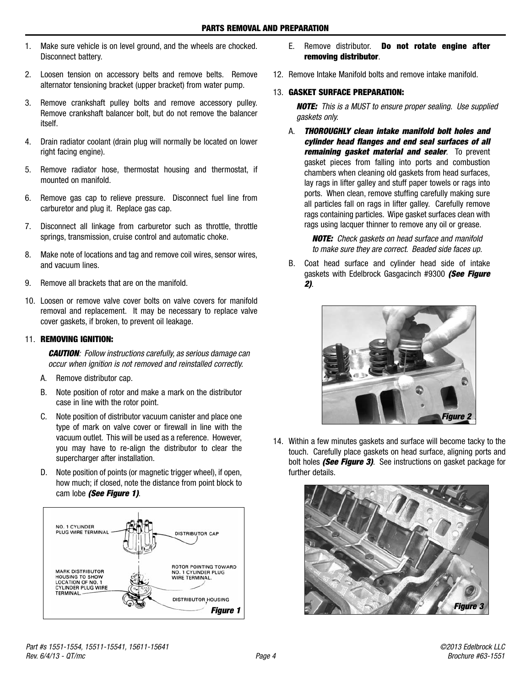- 1. Make sure vehicle is on level ground, and the wheels are chocked. Disconnect battery.
- 2. Loosen tension on accessory belts and remove belts. Remove alternator tensioning bracket (upper bracket) from water pump.
- 3. Remove crankshaft pulley bolts and remove accessory pulley. Remove crankshaft balancer bolt, but do not remove the balancer itself.
- 4. Drain radiator coolant (drain plug will normally be located on lower right facing engine).
- 5. Remove radiator hose, thermostat housing and thermostat, if mounted on manifold.
- 6. Remove gas cap to relieve pressure. Disconnect fuel line from carburetor and plug it. Replace gas cap.
- 7. Disconnect all linkage from carburetor such as throttle, throttle springs, transmission, cruise control and automatic choke.
- 8. Make note of locations and tag and remove coil wires, sensor wires, and vacuum lines.
- 9. Remove all brackets that are on the manifold.
- 10. Loosen or remove valve cover bolts on valve covers for manifold removal and replacement. It may be necessary to replace valve cover gaskets, if broken, to prevent oil leakage.

## 11. **REMOVING IGNITION:**

**CAUTION**: Follow instructions carefully, as serious damage can occur when ignition is not removed and reinstalled correctly.

- A. Remove distributor cap.
- B. Note position of rotor and make a mark on the distributor case in line with the rotor point.
- C. Note position of distributor vacuum canister and place one type of mark on valve cover or firewall in line with the vacuum outlet. This will be used as a reference. However, you may have to re-align the distributor to clear the supercharger after installation.
- D. Note position of points (or magnetic trigger wheel), if open, how much; if closed, note the distance from point block to cam lobe **(See Figure 1)**.



- E. Remove distributor. **Do not rotate engine after removing distributor**.
- 12. Remove Intake Manifold bolts and remove intake manifold.

## 13. **GASKET SURFACE PREPARATION:**

**NOTE:** This is a MUST to ensure proper sealing. Use supplied gaskets only.

A. **THOROUGHLY clean intake manifold bolt holes and cylinder head flanges and end seal surfaces of all remaining gasket material and sealer**. To prevent gasket pieces from falling into ports and combustion chambers when cleaning old gaskets from head surfaces, lay rags in lifter galley and stuff paper towels or rags into ports. When clean, remove stuffing carefully making sure all particles fall on rags in lifter galley. Carefully remove rags containing particles. Wipe gasket surfaces clean with rags using lacquer thinner to remove any oil or grease.

> **NOTE:** Check gaskets on head surface and manifold to make sure they are correct. Beaded side faces up.

B. Coat head surface and cylinder head side of intake gaskets with Edelbrock Gasgacinch #9300 **(See Figure 2)**.



14. Within a few minutes gaskets and surface will become tacky to the touch. Carefully place gaskets on head surface, aligning ports and bolt holes **(See Figure 3)**. See instructions on gasket package for further details.

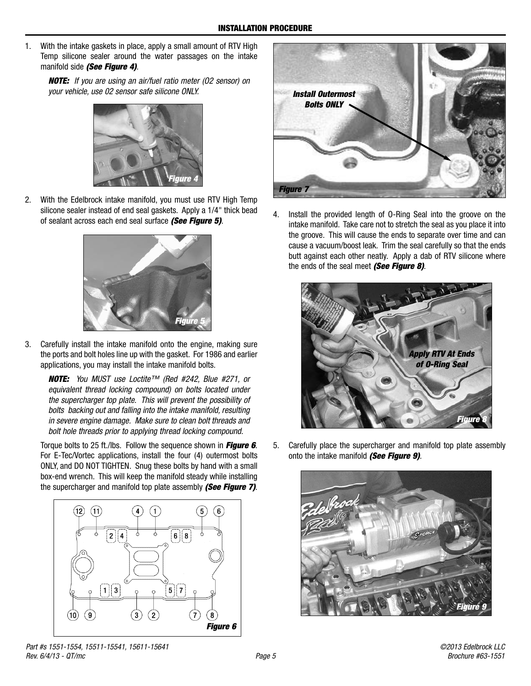1. With the intake gaskets in place, apply a small amount of RTV High Temp silicone sealer around the water passages on the intake manifold side **(See Figure 4)**.

**NOTE:** If you are using an air/fuel ratio meter (O2 sensor) on your vehicle, use 02 sensor safe silicone ONLY.



2. With the Edelbrock intake manifold, you must use RTV High Temp silicone sealer instead of end seal gaskets. Apply a 1/4" thick bead of sealant across each end seal surface **(See Figure 5)**.



3. Carefully install the intake manifold onto the engine, making sure the ports and bolt holes line up with the gasket. For 1986 and earlier applications, you may install the intake manifold bolts.

**NOTE:** You MUST use Loctite™ (Red #242, Blue #271, or equivalent thread locking compound) on bolts located under the supercharger top plate. This will prevent the possibility of bolts backing out and falling into the intake manifold, resulting in severe engine damage. Make sure to clean bolt threads and bolt hole threads prior to applying thread locking compound.

Torque bolts to 25 ft./lbs. Follow the sequence shown in **Figure 6**. For E-Tec/Vortec applications, install the four (4) outermost bolts ONLY, and DO NOT TIGHTEN. Snug these bolts by hand with a small box-end wrench. This will keep the manifold steady while installing the supercharger and manifold top plate assembly **(See Figure 7)**.





4. Install the provided length of O-Ring Seal into the groove on the intake manifold. Take care not to stretch the seal as you place it into the groove. This will cause the ends to separate over time and can cause a vacuum/boost leak. Trim the seal carefully so that the ends butt against each other neatly. Apply a dab of RTV silicone where the ends of the seal meet **(See Figure 8)**.



5. Carefully place the supercharger and manifold top plate assembly onto the intake manifold **(See Figure 9)**.

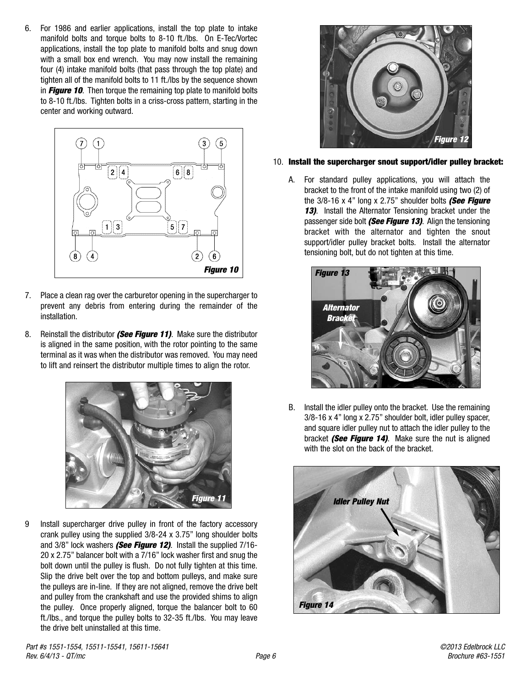6. For 1986 and earlier applications, install the top plate to intake manifold bolts and torque bolts to 8-10 ft./lbs. On E-Tec/Vortec applications, install the top plate to manifold bolts and snug down with a small box end wrench. You may now install the remaining four (4) intake manifold bolts (that pass through the top plate) and tighten all of the manifold bolts to 11 ft./lbs by the sequence shown in **Figure 10**. Then torque the remaining top plate to manifold bolts to 8-10 ft./lbs. Tighten bolts in a criss-cross pattern, starting in the center and working outward.



- 7. Place a clean rag over the carburetor opening in the supercharger to prevent any debris from entering during the remainder of the installation.
- 8. Reinstall the distributor **(See Figure 11)**. Make sure the distributor is aligned in the same position, with the rotor pointing to the same terminal as it was when the distributor was removed. You may need to lift and reinsert the distributor multiple times to align the rotor.



9 Install supercharger drive pulley in front of the factory accessory crank pulley using the supplied 3/8-24 x 3.75" long shoulder bolts and 3/8" lock washers **(See Figure 12)**. Install the supplied 7/16- 20 x 2.75" balancer bolt with a 7/16" lock washer first and snug the bolt down until the pulley is flush. Do not fully tighten at this time. Slip the drive belt over the top and bottom pulleys, and make sure the pulleys are in-line. If they are not aligned, remove the drive belt and pulley from the crankshaft and use the provided shims to align the pulley. Once properly aligned, torque the balancer bolt to 60 ft./lbs., and torque the pulley bolts to 32-35 ft./lbs. You may leave the drive belt uninstalled at this time.



#### 10. **Install the supercharger snout support/idler pulley bracket:**

A. For standard pulley applications, you will attach the bracket to the front of the intake manifold using two (2) of the 3/8-16 x 4" long x 2.75" shoulder bolts **(See Figure 13)**. Install the Alternator Tensioning bracket under the passenger side bolt **(See Figure 13)**. Align the tensioning bracket with the alternator and tighten the snout support/idler pulley bracket bolts. Install the alternator tensioning bolt, but do not tighten at this time.



B. Install the idler pulley onto the bracket. Use the remaining 3/8-16 x 4" long x 2.75" shoulder bolt, idler pulley spacer, and square idler pulley nut to attach the idler pulley to the bracket **(See Figure 14)**. Make sure the nut is aligned with the slot on the back of the bracket.

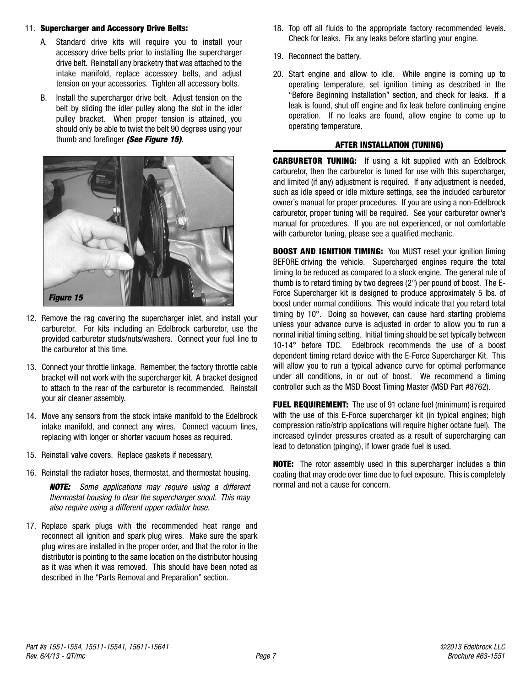### 11. **Supercharger and Accessory Drive Belts:**

- A. Standard drive kits will require you to install your accessory drive belts prior to installing the supercharger drive belt. Reinstall any bracketry that was attached to the intake manifold, replace accessory belts, and adjust tension on your accessories. Tighten all accessory bolts.
- B. Install the supercharger drive belt. Adjust tension on the belt by sliding the idler pulley along the slot in the idler pulley bracket. When proper tension is attained, you should only be able to twist the belt 90 degrees using your thumb and forefinger **(See Figure 15)**.



- 12. Remove the rag covering the supercharger inlet, and install your carburetor. For kits including an Edelbrock carburetor, use the provided carburetor studs/nuts/washers. Connect your fuel line to the carburetor at this time.
- 13. Connect your throttle linkage. Remember, the factory throttle cable bracket will not work with the supercharger kit. A bracket designed to attach to the rear of the carburetor is recommended. Reinstall your air cleaner assembly.
- 14. Move any sensors from the stock intake manifold to the Edelbrock intake manifold, and connect any wires. Connect vacuum lines, replacing with longer or shorter vacuum hoses as required.
- 15. Reinstall valve covers. Replace gaskets if necessary.
- 16. Reinstall the radiator hoses, thermostat, and thermostat housing.

**NOTE:** Some applications may require using a different thermostat housing to clear the supercharger snout. This may also require using a different upper radiator hose.

17. Replace spark plugs with the recommended heat range and reconnect all ignition and spark plug wires. Make sure the spark plug wires are installed in the proper order, and that the rotor in the distributor is pointing to the same location on the distributor housing as it was when it was removed. This should have been noted as described in the "Parts Removal and Preparation" section.

- 18. Top off all fluids to the appropriate factory recommended levels. Check for leaks. Fix any leaks before starting your engine.
- 19. Reconnect the battery.
- 20. Start engine and allow to idle. While engine is coming up to operating temperature, set ignition timing as described in the "Before Beginning Installation" section, and check for leaks. If a leak is found, shut off engine and fix leak before continuing engine operation. If no leaks are found, allow engine to come up to operating temperature.

## **AFTER INSTALLATION (TUNING)**

**CARBURETOR TUNING:** If using a kit supplied with an Edelbrock carburetor, then the carburetor is tuned for use with this supercharger, and limited (if any) adjustment is required. If any adjustment is needed, such as idle speed or idle mixture settings, see the included carburetor owner's manual for proper procedures. If you are using a non-Edelbrock carburetor, proper tuning will be required. See your carburetor owner's manual for procedures. If you are not experienced, or not comfortable with carburetor tuning, please see a qualified mechanic.

**BOOST AND IGNITION TIMING:** You MUST reset your ignition timing BEFORE driving the vehicle. Supercharged engines require the total timing to be reduced as compared to a stock engine. The general rule of thumb is to retard timing by two degrees (2°) per pound of boost. The E-Force Supercharger kit is designed to produce approximately 5 lbs. of boost under normal conditions. This would indicate that you retard total timing by 10°. Doing so however, can cause hard starting problems unless your advance curve is adjusted in order to allow you to run a normal initial timing setting. Initial timing should be set typically between 10-14° before TDC. Edelbrock recommends the use of a boost dependent timing retard device with the E-Force Supercharger Kit. This will allow you to run a typical advance curve for optimal performance under all conditions, in or out of boost. We recommend a timing controller such as the MSD Boost Timing Master (MSD Part #8762).

**FUEL REQUIREMENT:** The use of 91 octane fuel (minimum) is required with the use of this E-Force supercharger kit (in typical engines; high compression ratio/strip applications will require higher octane fuel). The increased cylinder pressures created as a result of supercharging can lead to detonation (pinging), if lower grade fuel is used.

**NOTE:** The rotor assembly used in this supercharger includes a thin coating that may erode over time due to fuel exposure. This is completely normal and not a cause for concern.